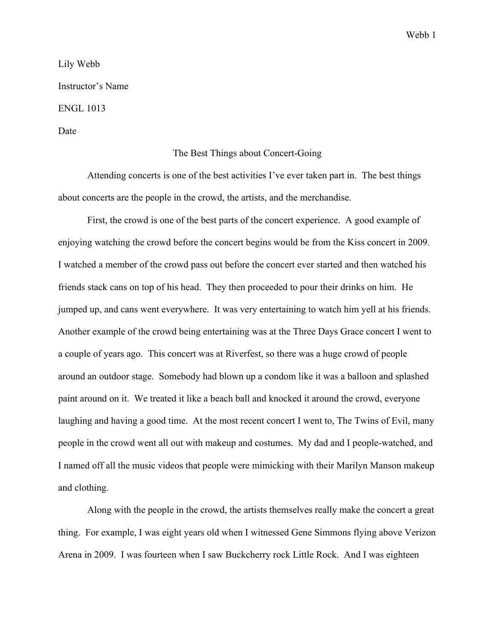Lily Webb Instructor's Name ENGL 1013 Date

## The Best Things about Concert-Going

Attending concerts is one of the best activities I've ever taken part in. The best things about concerts are the people in the crowd, the artists, and the merchandise.

First, the crowd is one of the best parts of the concert experience. A good example of enjoying watching the crowd before the concert begins would be from the Kiss concert in 2009. I watched a member of the crowd pass out before the concert ever started and then watched his friends stack cans on top of his head. They then proceeded to pour their drinks on him. He jumped up, and cans went everywhere. It was very entertaining to watch him yell at his friends. Another example of the crowd being entertaining was at the Three Days Grace concert I went to a couple of years ago. This concert was at Riverfest, so there was a huge crowd of people around an outdoor stage. Somebody had blown up a condom like it was a balloon and splashed paint around on it. We treated it like a beach ball and knocked it around the crowd, everyone laughing and having a good time. At the most recent concert I went to, The Twins of Evil, many people in the crowd went all out with makeup and costumes. My dad and I people-watched, and I named off all the music videos that people were mimicking with their Marilyn Manson makeup and clothing.

Along with the people in the crowd, the artists themselves really make the concert a great thing. For example, I was eight years old when I witnessed Gene Simmons flying above Verizon Arena in 2009. I was fourteen when I saw Buckcherry rock Little Rock. And I was eighteen